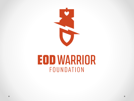

## **EOD WARRIOR** FOUNDATION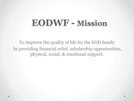## **EODWF - Mission**

To improve the quality of life for the EOD family by providing financial relief, scholarship opportunities, physical, social, & emotional support.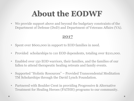## **About the EODWF**

• We provide support above and beyond the budgetary constraints of the Department of Defense (DoD) and Department of Veterans Affairs (VA).

#### **2017**

- Spent over \$600,000 in support to EOD families in need.
- Provided scholarships to 110 EOD dependents, totaling over \$210,000.
- Enabled over 150 EOD warriors, their families, and the families of our fallen to attend therapeutic healing retreats and family events.
- Supported "Holistic Resources" Provided Transcendental Meditation TM Scholarships through the David Lynch Foundation.
- Partnered with Boulder Crest in providing Progressive & Alternative Treatment for Healing Heroes (PATHH) programs to our community.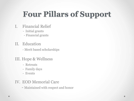## **Four Pillars of Support**

- I. Financial Relief
	- Initial grants
	- Financial grants
- II. Education
	- Merit based scholarships

### III. Hope & Wellness

- Retreats
- Family days
- Events

### IV. EOD Memorial Care

- Maintained with respect and honor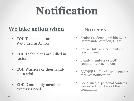# **Notification**

### **We take action when**

- **EOD** Technicians are Wounded In Action
- EOD Technicians are Killed in Action
- EOD Warriors or their family has a crisis
- EOD Community members expresses need



- **Senior Leadership within EOD** Command/Battalion/Flight
- **Active Duty service members** reaching out
- Family members or EOD community reaches out
- EODWF Staff or Board member receives notification
- Social media, personal contacts, concerned members of the community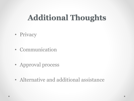### **Additional Thoughts**

- Privacy
- Communication
- Approval process
- Alternative and additional assistance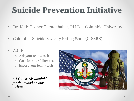## **Suicide Prevention Initiative**

- Dr. Kelly Posner Gerstenhaber, PH.D. Columbia University
- Columbia-Suicide Severity Rating Scale (C-SSRS)
- **A.C.E.** 
	- o **A**sk your fellow tech
	- o **C**are for your fellow tech
	- o **E**scort your fellow tech

*\* A.C.E. cards available for download on our website*

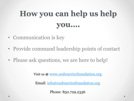## **How you can help us help you….**

- Communication is key
- Provide command leadership points of contact
- Please ask questions, we are here to help!

Visit us **@** [www.eodwarriorfoundation.org](http://www.eodwarriorfoundation.org)

Email: [info@eodwarriorfoundation.org](mailto:info@eodwarriorfoundation.org)

Phone: 850.729.2336